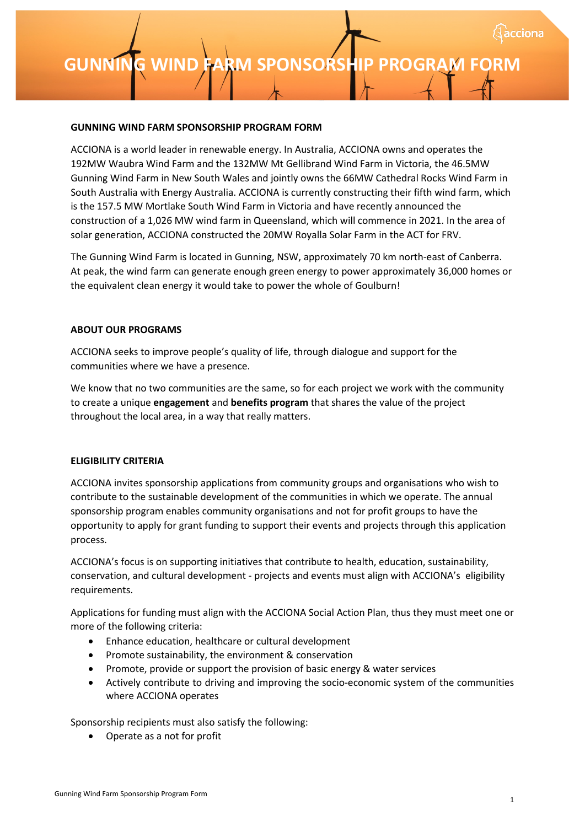#### **GUNNING WIND FARM SPONSORSHIP PROGRAM FORM**

ACCIONA is a world leader in renewable energy. In Australia, ACCIONA owns and operates the 192MW Waubra Wind Farm and the 132MW Mt Gellibrand Wind Farm in Victoria, the 46.5MW Gunning Wind Farm in New South Wales and jointly owns the 66MW Cathedral Rocks Wind Farm in South Australia with Energy Australia. ACCIONA is currently constructing their fifth wind farm, which is the 157.5 MW Mortlake South Wind Farm in Victoria and have recently announced the construction of a 1,026 MW wind farm in Queensland, which will commence in 2021. In the area of solar generation, ACCIONA constructed the 20MW Royalla Solar Farm in the ACT for FRV.

The Gunning Wind Farm is located in Gunning, NSW, approximately 70 km north-east of Canberra. At peak, the wind farm can generate enough green energy to power approximately 36,000 homes or the equivalent clean energy it would take to power the whole of Goulburn!

#### **ABOUT OUR PROGRAMS**

ACCIONA seeks to improve people's quality of life, through dialogue and support for the communities where we have a presence.

We know that no two communities are the same, so for each project we work with the community to create a unique **engagement** and **benefits program** that shares the value of the project throughout the local area, in a way that really matters.

# **ELIGIBILITY CRITERIA**

ACCIONA invites sponsorship applications from community groups and organisations who wish to contribute to the sustainable development of the communities in which we operate. The annual sponsorship program enables community organisations and not for profit groups to have the opportunity to apply for grant funding to support their events and projects through this application process.

ACCIONA's focus is on supporting initiatives that contribute to health, education, sustainability, conservation, and cultural development - projects and events must align with ACCIONA's eligibility requirements.

Applications for funding must align with the ACCIONA Social Action Plan, thus they must meet one or more of the following criteria:

- Enhance education, healthcare or cultural development
- Promote sustainability, the environment & conservation
- Promote, provide or support the provision of basic energy & water services
- Actively contribute to driving and improving the socio-economic system of the communities where ACCIONA operates

Sponsorship recipients must also satisfy the following:

• Operate as a not for profit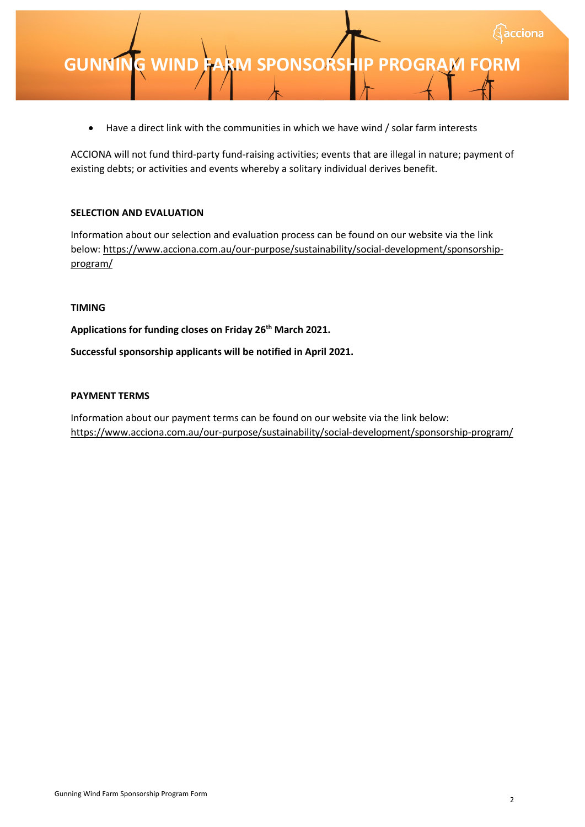• Have a direct link with the communities in which we have wind / solar farm interests

ACCIONA will not fund third-party fund-raising activities; events that are illegal in nature; payment of existing debts; or activities and events whereby a solitary individual derives benefit.

# **SELECTION AND EVALUATION**

Information about our selection and evaluation process can be found on our website via the link bel[ow: https://www.acciona.com.au/our-purpose/sustainability/social-development/sponsorship](https://www.acciona.com.au/our-purpose/sustainability/social-development/sponsorship-program/)program/

# **TIMING**

**Applications for funding closes on Friday 26th March 2021.**

**Successful sponsorship applicants will be notified in April 2021.**

# **PAYMENT TERMS**

Information about our payment terms can be found on our website via the link below: <https://www.acciona.com.au/our-purpose/sustainability/social-development/sponsorship-program/>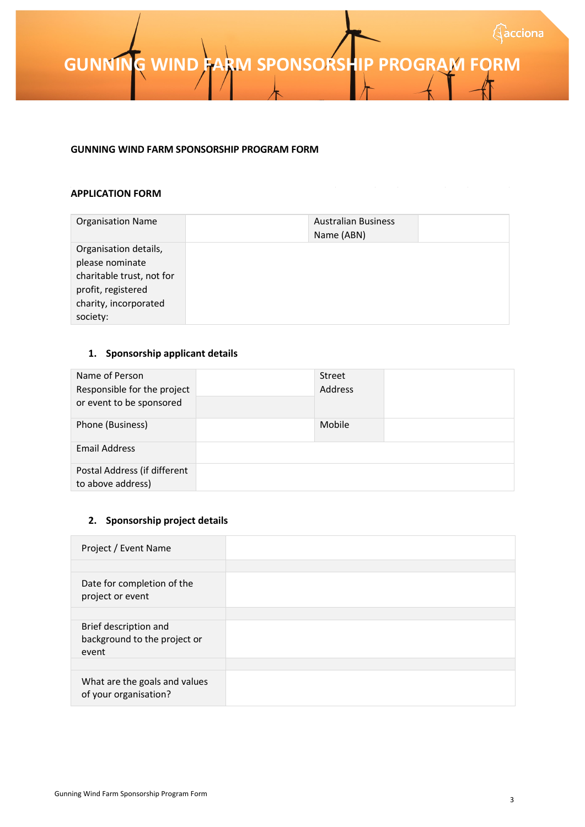**GUNNING WIND FARM SPONSORSHIP PROGRAM FORM** 

#### **GUNNING WIND FARM SPONSORSHIP PROGRAM FORM**

#### **APPLICATION FORM**

| <b>Organisation Name</b>  | <b>Australian Business</b><br>Name (ABN) |  |
|---------------------------|------------------------------------------|--|
| Organisation details,     |                                          |  |
| please nominate           |                                          |  |
| charitable trust, not for |                                          |  |
| profit, registered        |                                          |  |
| charity, incorporated     |                                          |  |
| society:                  |                                          |  |

# **1. Sponsorship applicant details**

| Name of Person<br>Responsible for the project<br>or event to be sponsored | <b>Street</b><br>Address |  |
|---------------------------------------------------------------------------|--------------------------|--|
| Phone (Business)                                                          | Mobile                   |  |
| <b>Email Address</b>                                                      |                          |  |
| Postal Address (if different<br>to above address)                         |                          |  |

# **2. Sponsorship project details**

| Project / Event Name                                           |  |
|----------------------------------------------------------------|--|
|                                                                |  |
| Date for completion of the<br>project or event                 |  |
|                                                                |  |
| Brief description and<br>background to the project or<br>event |  |
|                                                                |  |
| What are the goals and values<br>of your organisation?         |  |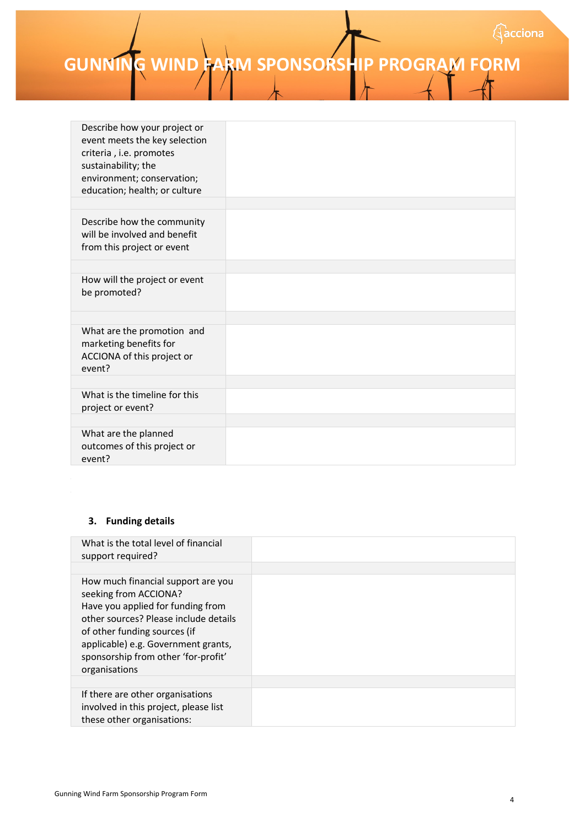**GUNNING WIND FARM SPONSORSHIP PROGRAM FORM** 

| Describe how your project or<br>event meets the key selection<br>criteria, i.e. promotes<br>sustainability; the<br>environment; conservation;<br>education; health; or culture |  |
|--------------------------------------------------------------------------------------------------------------------------------------------------------------------------------|--|
|                                                                                                                                                                                |  |
| Describe how the community<br>will be involved and benefit<br>from this project or event                                                                                       |  |
|                                                                                                                                                                                |  |
| How will the project or event<br>be promoted?                                                                                                                                  |  |
|                                                                                                                                                                                |  |
| What are the promotion and<br>marketing benefits for<br>ACCIONA of this project or<br>event?                                                                                   |  |
|                                                                                                                                                                                |  |
| What is the timeline for this<br>project or event?                                                                                                                             |  |
|                                                                                                                                                                                |  |
| What are the planned<br>outcomes of this project or<br>event?                                                                                                                  |  |

# **3. Funding details**

| What is the total level of financial<br>support required?                                                                                                                                                                                                                |  |
|--------------------------------------------------------------------------------------------------------------------------------------------------------------------------------------------------------------------------------------------------------------------------|--|
| How much financial support are you<br>seeking from ACCIONA?<br>Have you applied for funding from<br>other sources? Please include details<br>of other funding sources (if<br>applicable) e.g. Government grants,<br>sponsorship from other 'for-profit'<br>organisations |  |
|                                                                                                                                                                                                                                                                          |  |
| If there are other organisations<br>involved in this project, please list<br>these other organisations:                                                                                                                                                                  |  |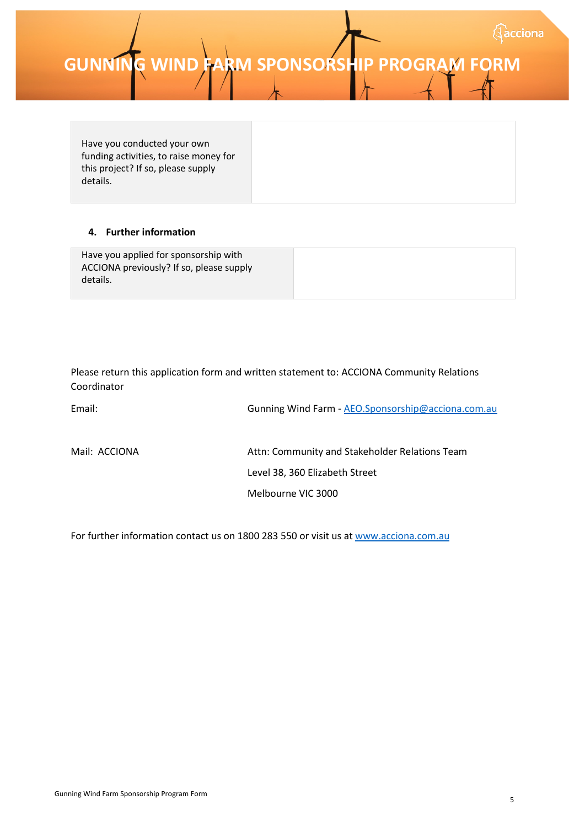Have you conducted your own funding activities, to raise money for this project? If so, please supply details.

# **4. Further information**

| Have you applied for sponsorship with<br>ACCIONA previously? If so, please supply |  |
|-----------------------------------------------------------------------------------|--|
| details.                                                                          |  |

Please return this application form and written statement to: ACCIONA Community Relations Coordinator

| Email:        | Gunning Wind Farm - AEO.Sponsorship@acciona.com.au |
|---------------|----------------------------------------------------|
| Mail: ACCIONA | Attn: Community and Stakeholder Relations Team     |
|               | Level 38, 360 Elizabeth Street                     |
|               | Melbourne VIC 3000                                 |

For further information contact us on 1800 283 550 or visit us a[t www.acciona.com.au](http://www.acciona.com.au/)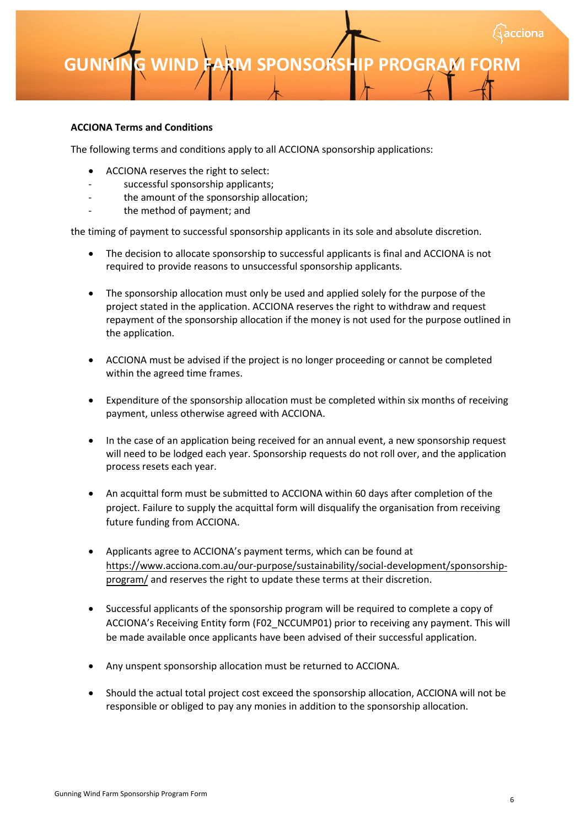# **ACCIONA Terms and Conditions**

The following terms and conditions apply to all ACCIONA sponsorship applications:

- ACCIONA reserves the right to select:
- successful sponsorship applicants;
- the amount of the sponsorship allocation;
- the method of payment; and

the timing of payment to successful sponsorship applicants in its sole and absolute discretion.

- The decision to allocate sponsorship to successful applicants is final and ACCIONA is not required to provide reasons to unsuccessful sponsorship applicants.
- The sponsorship allocation must only be used and applied solely for the purpose of the project stated in the application. ACCIONA reserves the right to withdraw and request repayment of the sponsorship allocation if the money is not used for the purpose outlined in the application.
- ACCIONA must be advised if the project is no longer proceeding or cannot be completed within the agreed time frames.
- Expenditure of the sponsorship allocation must be completed within six months of receiving payment, unless otherwise agreed with ACCIONA.
- In the case of an application being received for an annual event, a new sponsorship request will need to be lodged each year. Sponsorship requests do not roll over, and the application process resets each year.
- An acquittal form must be submitted to ACCIONA within 60 days after completion of the project. Failure to supply the acquittal form will disqualify the organisation from receiving future funding from ACCIONA.
- Applicants agree to ACCIONA's payment terms, which can be found at [https://www.acciona.com.au/our-purpose/sustainability/social-development/sponsorship](https://www.acciona.com.au/our-purpose/sustainability/social-development/sponsorship-program/)program/ and reserves the right to update these terms at their discretion.
- Successful applicants of the sponsorship program will be required to complete a copy of ACCIONA's Receiving Entity form (F02\_NCCUMP01) prior to receiving any payment. This will be made available once applicants have been advised of their successful application.
- Any unspent sponsorship allocation must be returned to ACCIONA.
- Should the actual total project cost exceed the sponsorship allocation, ACCIONA will not be responsible or obliged to pay any monies in addition to the sponsorship allocation.